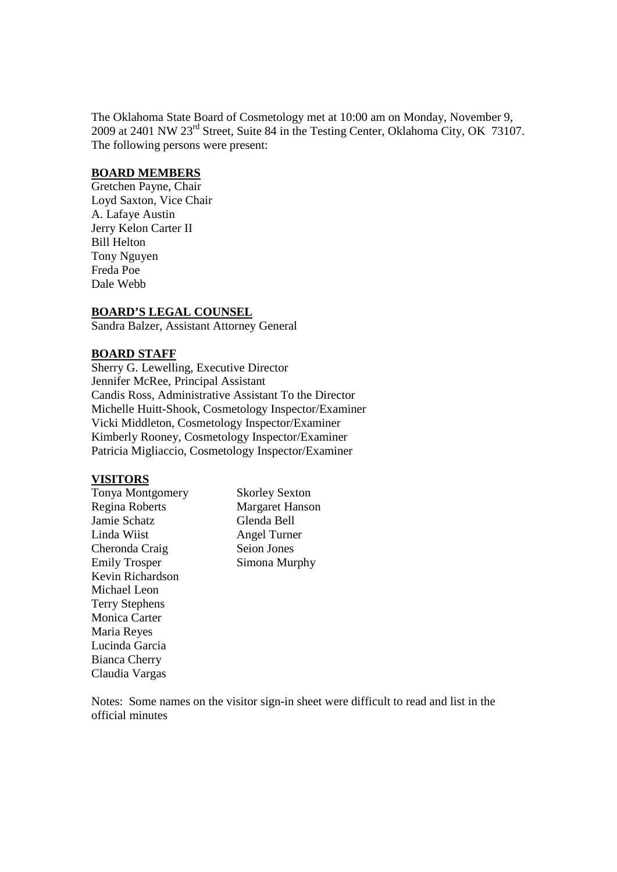The Oklahoma State Board of Cosmetology met at 10:00 am on Monday, November 9, 2009 at 2401 NW 23rd Street, Suite 84 in the Testing Center, Oklahoma City, OK 73107. The following persons were present:

#### **BOARD MEMBERS**

Gretchen Payne, Chair Loyd Saxton, Vice Chair A. Lafaye Austin Jerry Kelon Carter II Bill Helton Tony Nguyen Freda Poe Dale Webb

#### **BOARD'S LEGAL COUNSEL**

Sandra Balzer, Assistant Attorney General

#### **BOARD STAFF**

Sherry G. Lewelling, Executive Director Jennifer McRee, Principal Assistant Candis Ross, Administrative Assistant To the Director Michelle Huitt-Shook, Cosmetology Inspector/Examiner Vicki Middleton, Cosmetology Inspector/Examiner Kimberly Rooney, Cosmetology Inspector/Examiner Patricia Migliaccio, Cosmetology Inspector/Examiner

#### **VISITORS**

Regina Roberts Margaret Hanson Jamie Schatz Glenda Bell Linda Wiist Angel Turner Cheronda Craig Seion Jones Emily Trosper Simona Murphy Kevin Richardson Michael Leon Terry Stephens Monica Carter Maria Reyes Lucinda Garcia Bianca Cherry Claudia Vargas

Tonya Montgomery Skorley Sexton

Notes: Some names on the visitor sign-in sheet were difficult to read and list in the official minutes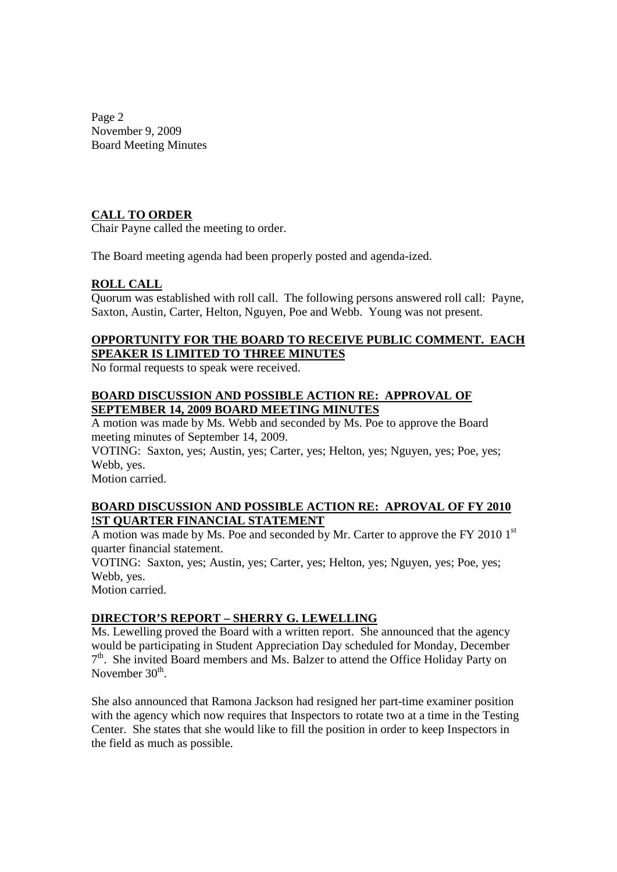Page 2 November 9, 2009 Board Meeting Minutes

## **CALL TO ORDER**

Chair Payne called the meeting to order.

The Board meeting agenda had been properly posted and agenda-ized.

## **ROLL CALL**

Quorum was established with roll call. The following persons answered roll call: Payne, Saxton, Austin, Carter, Helton, Nguyen, Poe and Webb. Young was not present.

# **OPPORTUNITY FOR THE BOARD TO RECEIVE PUBLIC COMMENT. EACH SPEAKER IS LIMITED TO THREE MINUTES**

No formal requests to speak were received.

#### **BOARD DISCUSSION AND POSSIBLE ACTION RE: APPROVAL OF SEPTEMBER 14, 2009 BOARD MEETING MINUTES**

A motion was made by Ms. Webb and seconded by Ms. Poe to approve the Board meeting minutes of September 14, 2009.

VOTING: Saxton, yes; Austin, yes; Carter, yes; Helton, yes; Nguyen, yes; Poe, yes; Webb, yes.

Motion carried.

## **BOARD DISCUSSION AND POSSIBLE ACTION RE: APROVAL OF FY 2010 !ST QUARTER FINANCIAL STATEMENT**

A motion was made by Ms. Poe and seconded by Mr. Carter to approve the FY 2010 1st quarter financial statement.

VOTING: Saxton, yes; Austin, yes; Carter, yes; Helton, yes; Nguyen, yes; Poe, yes; Webb, yes.

Motion carried.

# **DIRECTOR'S REPORT – SHERRY G. LEWELLING**

Ms. Lewelling proved the Board with a written report. She announced that the agency would be participating in Student Appreciation Day scheduled for Monday, December  $7<sup>th</sup>$ . She invited Board members and Ms. Balzer to attend the Office Holiday Party on November 30<sup>th</sup>.

She also announced that Ramona Jackson had resigned her part-time examiner position with the agency which now requires that Inspectors to rotate two at a time in the Testing Center. She states that she would like to fill the position in order to keep Inspectors in the field as much as possible.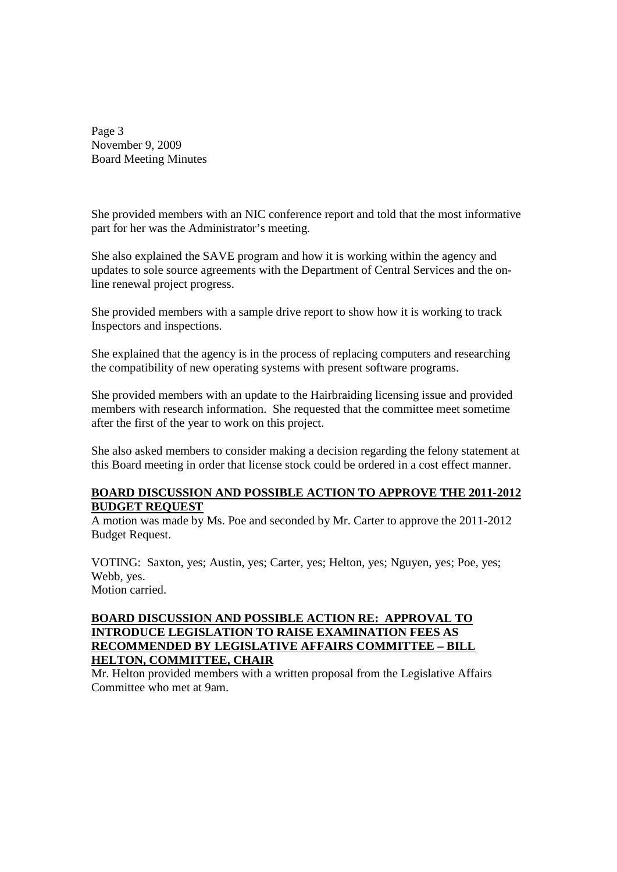Page 3 November 9, 2009 Board Meeting Minutes

She provided members with an NIC conference report and told that the most informative part for her was the Administrator's meeting.

She also explained the SAVE program and how it is working within the agency and updates to sole source agreements with the Department of Central Services and the online renewal project progress.

She provided members with a sample drive report to show how it is working to track Inspectors and inspections.

She explained that the agency is in the process of replacing computers and researching the compatibility of new operating systems with present software programs.

She provided members with an update to the Hairbraiding licensing issue and provided members with research information. She requested that the committee meet sometime after the first of the year to work on this project.

She also asked members to consider making a decision regarding the felony statement at this Board meeting in order that license stock could be ordered in a cost effect manner.

## **BOARD DISCUSSION AND POSSIBLE ACTION TO APPROVE THE 2011-2012 BUDGET REQUEST**

A motion was made by Ms. Poe and seconded by Mr. Carter to approve the 2011-2012 Budget Request.

VOTING: Saxton, yes; Austin, yes; Carter, yes; Helton, yes; Nguyen, yes; Poe, yes; Webb, yes. Motion carried.

## **BOARD DISCUSSION AND POSSIBLE ACTION RE: APPROVAL TO INTRODUCE LEGISLATION TO RAISE EXAMINATION FEES AS RECOMMENDED BY LEGISLATIVE AFFAIRS COMMITTEE – BILL HELTON, COMMITTEE, CHAIR**

Mr. Helton provided members with a written proposal from the Legislative Affairs Committee who met at 9am.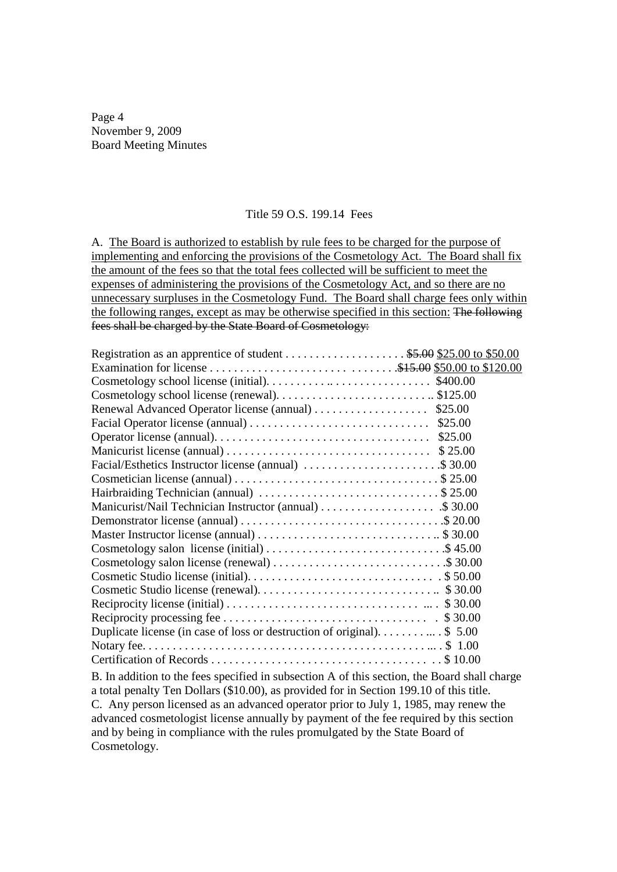Page 4 November 9, 2009 Board Meeting Minutes

#### Title 59 O.S. 199.14 Fees

A. The Board is authorized to establish by rule fees to be charged for the purpose of implementing and enforcing the provisions of the Cosmetology Act. The Board shall fix the amount of the fees so that the total fees collected will be sufficient to meet the expenses of administering the provisions of the Cosmetology Act, and so there are no unnecessary surpluses in the Cosmetology Fund. The Board shall charge fees only within the following ranges, except as may be otherwise specified in this section: The following fees shall be charged by the State Board of Cosmetology:

| Registration as an apprentice of student \$5.00 \$25.00 to \$50.00                           |  |
|----------------------------------------------------------------------------------------------|--|
|                                                                                              |  |
|                                                                                              |  |
|                                                                                              |  |
| Renewal Advanced Operator license (annual) \$25.00                                           |  |
|                                                                                              |  |
|                                                                                              |  |
|                                                                                              |  |
| Facial/Esthetics Instructor license (annual) \$ 30.00                                        |  |
|                                                                                              |  |
| Hairbraiding Technician (annual) \$25.00                                                     |  |
| Manicurist/Nail Technician Instructor (annual) \$ 30.00                                      |  |
|                                                                                              |  |
|                                                                                              |  |
|                                                                                              |  |
| Cosmetology salon license (renewal) \$ 30.00                                                 |  |
|                                                                                              |  |
|                                                                                              |  |
|                                                                                              |  |
|                                                                                              |  |
| Duplicate license (in case of loss or destruction of original). \$ 5.00                      |  |
|                                                                                              |  |
|                                                                                              |  |
| B. In addition to the fees specified in subsection A of this section, the Board shall charge |  |

a total penalty Ten Dollars (\$10.00), as provided for in Section 199.10 of this title. C. Any person licensed as an advanced operator prior to July 1, 1985, may renew the advanced cosmetologist license annually by payment of the fee required by this section and by being in compliance with the rules promulgated by the State Board of Cosmetology.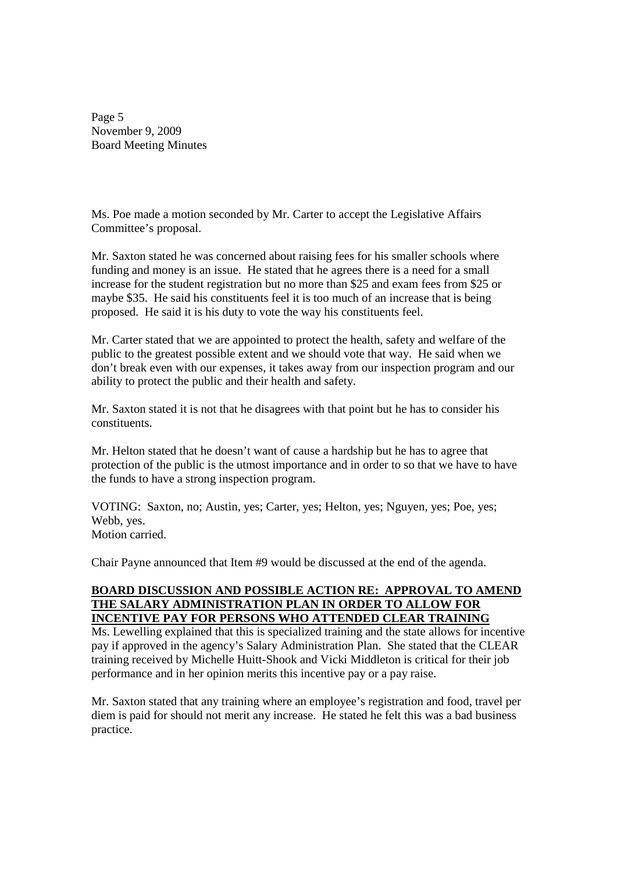Page 5 November 9, 2009 Board Meeting Minutes

Ms. Poe made a motion seconded by Mr. Carter to accept the Legislative Affairs Committee's proposal.

Mr. Saxton stated he was concerned about raising fees for his smaller schools where funding and money is an issue. He stated that he agrees there is a need for a small increase for the student registration but no more than \$25 and exam fees from \$25 or maybe \$35. He said his constituents feel it is too much of an increase that is being proposed. He said it is his duty to vote the way his constituents feel.

Mr. Carter stated that we are appointed to protect the health, safety and welfare of the public to the greatest possible extent and we should vote that way. He said when we don't break even with our expenses, it takes away from our inspection program and our ability to protect the public and their health and safety.

Mr. Saxton stated it is not that he disagrees with that point but he has to consider his constituents.

Mr. Helton stated that he doesn't want of cause a hardship but he has to agree that protection of the public is the utmost importance and in order to so that we have to have the funds to have a strong inspection program.

VOTING: Saxton, no; Austin, yes; Carter, yes; Helton, yes; Nguyen, yes; Poe, yes; Webb, yes. Motion carried.

Chair Payne announced that Item #9 would be discussed at the end of the agenda.

#### **BOARD DISCUSSION AND POSSIBLE ACTION RE: APPROVAL TO AMEND THE SALARY ADMINISTRATION PLAN IN ORDER TO ALLOW FOR INCENTIVE PAY FOR PERSONS WHO ATTENDED CLEAR TRAINING**

Ms. Lewelling explained that this is specialized training and the state allows for incentive pay if approved in the agency's Salary Administration Plan. She stated that the CLEAR training received by Michelle Huitt-Shook and Vicki Middleton is critical for their job performance and in her opinion merits this incentive pay or a pay raise.

Mr. Saxton stated that any training where an employee's registration and food, travel per diem is paid for should not merit any increase. He stated he felt this was a bad business practice.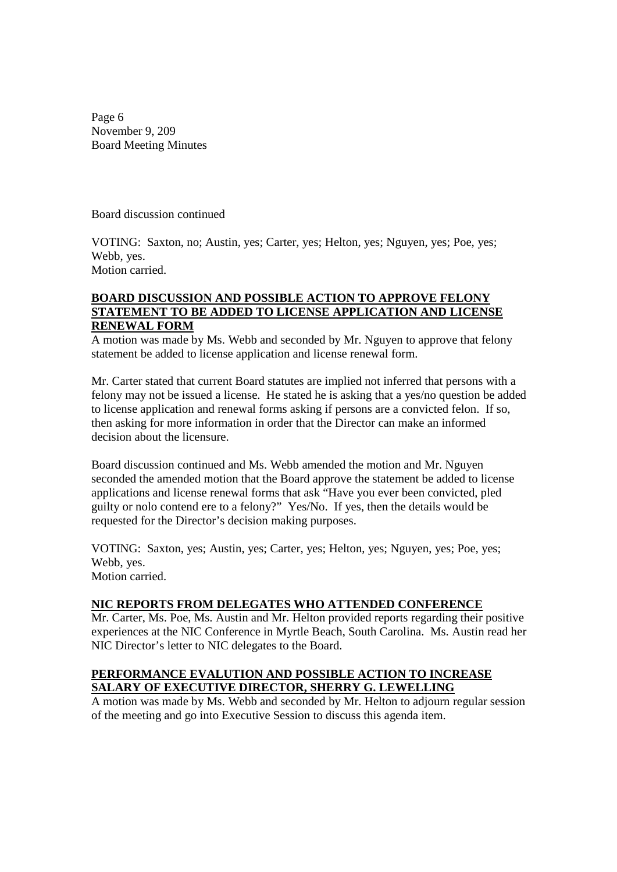Page 6 November 9, 209 Board Meeting Minutes

Board discussion continued

VOTING: Saxton, no; Austin, yes; Carter, yes; Helton, yes; Nguyen, yes; Poe, yes; Webb, yes. Motion carried.

#### **BOARD DISCUSSION AND POSSIBLE ACTION TO APPROVE FELONY STATEMENT TO BE ADDED TO LICENSE APPLICATION AND LICENSE RENEWAL FORM**

A motion was made by Ms. Webb and seconded by Mr. Nguyen to approve that felony statement be added to license application and license renewal form.

Mr. Carter stated that current Board statutes are implied not inferred that persons with a felony may not be issued a license. He stated he is asking that a yes/no question be added to license application and renewal forms asking if persons are a convicted felon. If so, then asking for more information in order that the Director can make an informed decision about the licensure.

Board discussion continued and Ms. Webb amended the motion and Mr. Nguyen seconded the amended motion that the Board approve the statement be added to license applications and license renewal forms that ask "Have you ever been convicted, pled guilty or nolo contend ere to a felony?" Yes/No. If yes, then the details would be requested for the Director's decision making purposes.

VOTING: Saxton, yes; Austin, yes; Carter, yes; Helton, yes; Nguyen, yes; Poe, yes; Webb, yes. Motion carried.

# **NIC REPORTS FROM DELEGATES WHO ATTENDED CONFERENCE**

Mr. Carter, Ms. Poe, Ms. Austin and Mr. Helton provided reports regarding their positive experiences at the NIC Conference in Myrtle Beach, South Carolina. Ms. Austin read her NIC Director's letter to NIC delegates to the Board.

## **PERFORMANCE EVALUTION AND POSSIBLE ACTION TO INCREASE SALARY OF EXECUTIVE DIRECTOR, SHERRY G. LEWELLING**

A motion was made by Ms. Webb and seconded by Mr. Helton to adjourn regular session of the meeting and go into Executive Session to discuss this agenda item.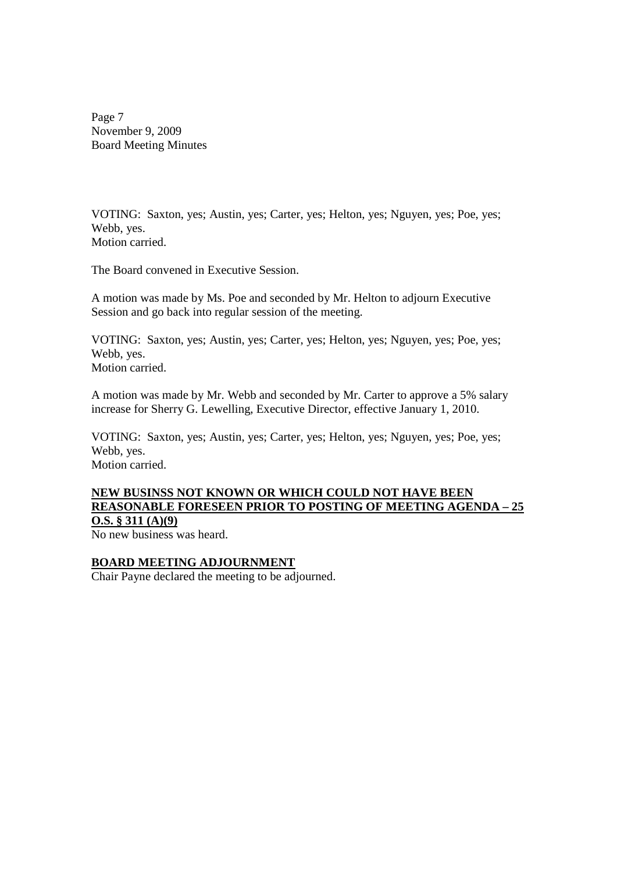Page 7 November 9, 2009 Board Meeting Minutes

VOTING: Saxton, yes; Austin, yes; Carter, yes; Helton, yes; Nguyen, yes; Poe, yes; Webb, yes. Motion carried.

The Board convened in Executive Session.

A motion was made by Ms. Poe and seconded by Mr. Helton to adjourn Executive Session and go back into regular session of the meeting.

VOTING: Saxton, yes; Austin, yes; Carter, yes; Helton, yes; Nguyen, yes; Poe, yes; Webb, yes. Motion carried.

A motion was made by Mr. Webb and seconded by Mr. Carter to approve a 5% salary increase for Sherry G. Lewelling, Executive Director, effective January 1, 2010.

VOTING: Saxton, yes; Austin, yes; Carter, yes; Helton, yes; Nguyen, yes; Poe, yes; Webb, yes. Motion carried.

## **NEW BUSINSS NOT KNOWN OR WHICH COULD NOT HAVE BEEN REASONABLE FORESEEN PRIOR TO POSTING OF MEETING AGENDA – 25 O.S. § 311 (A)(9)**

No new business was heard.

#### **BOARD MEETING ADJOURNMENT**

Chair Payne declared the meeting to be adjourned.